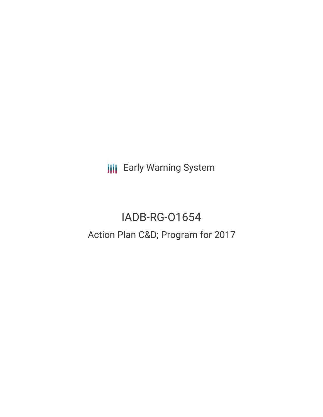**III** Early Warning System

# IADB-RG-O1654 Action Plan C&D; Program for 2017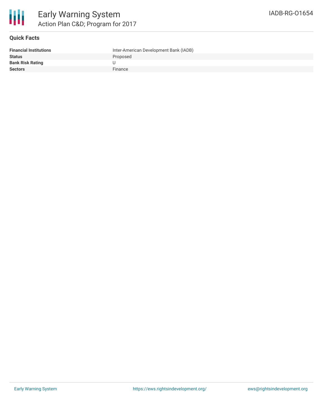

### **Quick Facts**

| <b>Financial Institutions</b> | Inter-American Development Bank (IADB) |
|-------------------------------|----------------------------------------|
| <b>Status</b>                 | Proposed                               |
| <b>Bank Risk Rating</b>       |                                        |
| <b>Sectors</b>                | Finance                                |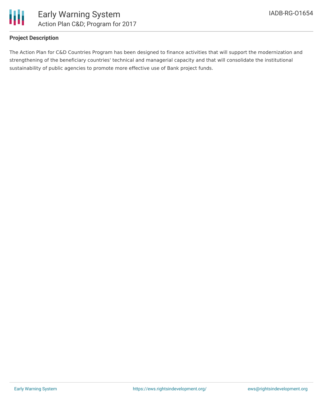

## **Project Description**

The Action Plan for C&D Countries Program has been designed to finance activities that will support the modernization and strengthening of the beneficiary countries' technical and managerial capacity and that will consolidate the institutional sustainability of public agencies to promote more effective use of Bank project funds.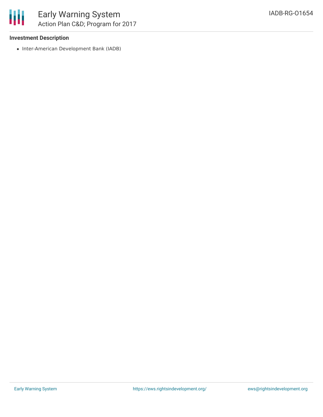

### **Investment Description**

• Inter-American Development Bank (IADB)